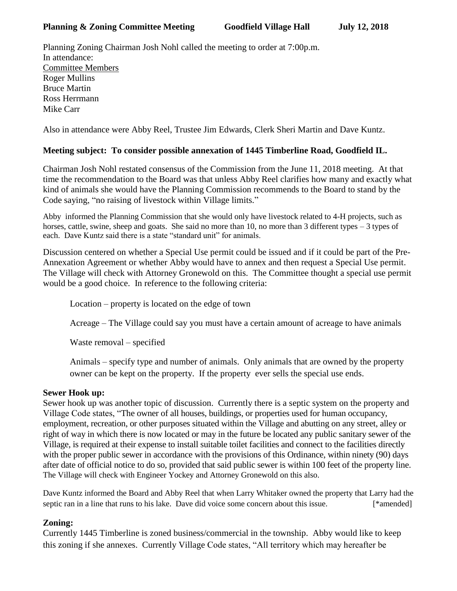Planning Zoning Chairman Josh Nohl called the meeting to order at 7:00p.m. In attendance: Committee Members Roger Mullins Bruce Martin Ross Herrmann Mike Carr

Also in attendance were Abby Reel, Trustee Jim Edwards, Clerk Sheri Martin and Dave Kuntz.

## **Meeting subject: To consider possible annexation of 1445 Timberline Road, Goodfield IL.**

Chairman Josh Nohl restated consensus of the Commission from the June 11, 2018 meeting. At that time the recommendation to the Board was that unless Abby Reel clarifies how many and exactly what kind of animals she would have the Planning Commission recommends to the Board to stand by the Code saying, "no raising of livestock within Village limits."

Abby informed the Planning Commission that she would only have livestock related to 4-H projects, such as horses, cattle, swine, sheep and goats. She said no more than 10, no more than 3 different types – 3 types of each. Dave Kuntz said there is a state "standard unit" for animals.

Discussion centered on whether a Special Use permit could be issued and if it could be part of the Pre-Annexation Agreement or whether Abby would have to annex and then request a Special Use permit. The Village will check with Attorney Gronewold on this. The Committee thought a special use permit would be a good choice. In reference to the following criteria:

Location – property is located on the edge of town

Acreage – The Village could say you must have a certain amount of acreage to have animals

Waste removal – specified

Animals – specify type and number of animals. Only animals that are owned by the property owner can be kept on the property. If the property ever sells the special use ends.

## **Sewer Hook up:**

Sewer hook up was another topic of discussion. Currently there is a septic system on the property and Village Code states, "The owner of all houses, buildings, or properties used for human occupancy, employment, recreation, or other purposes situated within the Village and abutting on any street, alley or right of way in which there is now located or may in the future be located any public sanitary sewer of the Village, is required at their expense to install suitable toilet facilities and connect to the facilities directly with the proper public sewer in accordance with the provisions of this Ordinance, within ninety (90) days after date of official notice to do so, provided that said public sewer is within 100 feet of the property line. The Village will check with Engineer Yockey and Attorney Gronewold on this also.

Dave Kuntz informed the Board and Abby Reel that when Larry Whitaker owned the property that Larry had the septic ran in a line that runs to his lake. Dave did voice some concern about this issue. [\*amended]

## **Zoning:**

Currently 1445 Timberline is zoned business/commercial in the township. Abby would like to keep this zoning if she annexes. Currently Village Code states, "All territory which may hereafter be